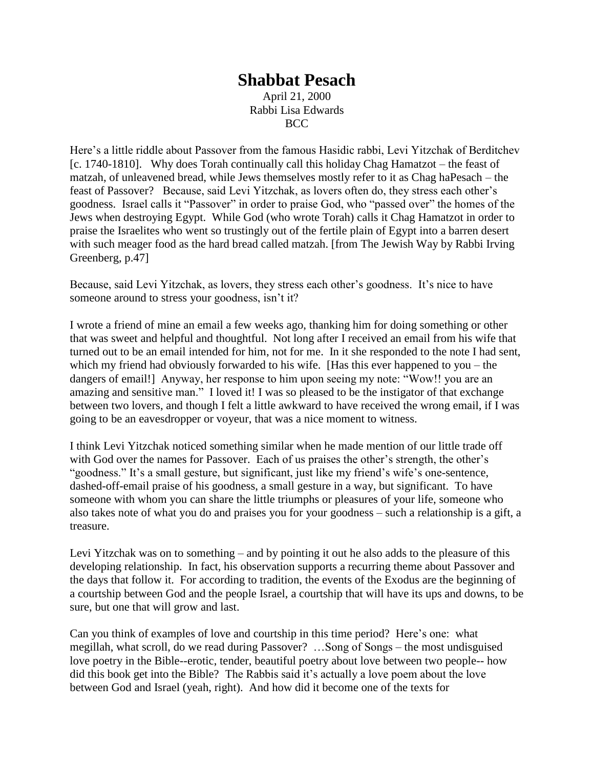## **Shabbat Pesach**

April 21, 2000 Rabbi Lisa Edwards BCC

Here's a little riddle about Passover from the famous Hasidic rabbi, Levi Yitzchak of Berditchev [c. 1740-1810]. Why does Torah continually call this holiday Chag Hamatzot – the feast of matzah, of unleavened bread, while Jews themselves mostly refer to it as Chag haPesach – the feast of Passover? Because, said Levi Yitzchak, as lovers often do, they stress each other's goodness. Israel calls it "Passover" in order to praise God, who "passed over" the homes of the Jews when destroying Egypt. While God (who wrote Torah) calls it Chag Hamatzot in order to praise the Israelites who went so trustingly out of the fertile plain of Egypt into a barren desert with such meager food as the hard bread called matzah. [from The Jewish Way by Rabbi Irving Greenberg, p.47]

Because, said Levi Yitzchak, as lovers, they stress each other's goodness. It's nice to have someone around to stress your goodness, isn't it?

I wrote a friend of mine an email a few weeks ago, thanking him for doing something or other that was sweet and helpful and thoughtful. Not long after I received an email from his wife that turned out to be an email intended for him, not for me. In it she responded to the note I had sent, which my friend had obviously forwarded to his wife. [Has this ever happened to you – the dangers of email!] Anyway, her response to him upon seeing my note: "Wow!! you are an amazing and sensitive man." I loved it! I was so pleased to be the instigator of that exchange between two lovers, and though I felt a little awkward to have received the wrong email, if I was going to be an eavesdropper or voyeur, that was a nice moment to witness.

I think Levi Yitzchak noticed something similar when he made mention of our little trade off with God over the names for Passover. Each of us praises the other's strength, the other's "goodness." It's a small gesture, but significant, just like my friend's wife's one-sentence, dashed-off-email praise of his goodness, a small gesture in a way, but significant. To have someone with whom you can share the little triumphs or pleasures of your life, someone who also takes note of what you do and praises you for your goodness – such a relationship is a gift, a treasure.

Levi Yitzchak was on to something – and by pointing it out he also adds to the pleasure of this developing relationship. In fact, his observation supports a recurring theme about Passover and the days that follow it. For according to tradition, the events of the Exodus are the beginning of a courtship between God and the people Israel, a courtship that will have its ups and downs, to be sure, but one that will grow and last.

Can you think of examples of love and courtship in this time period? Here's one: what megillah, what scroll, do we read during Passover? …Song of Songs – the most undisguised love poetry in the Bible--erotic, tender, beautiful poetry about love between two people-- how did this book get into the Bible? The Rabbis said it's actually a love poem about the love between God and Israel (yeah, right). And how did it become one of the texts for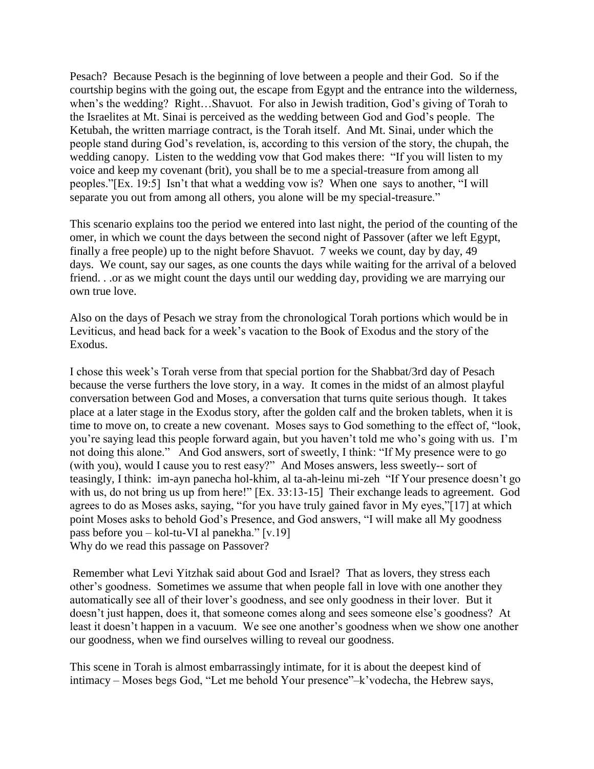Pesach? Because Pesach is the beginning of love between a people and their God. So if the courtship begins with the going out, the escape from Egypt and the entrance into the wilderness, when's the wedding? Right…Shavuot. For also in Jewish tradition, God's giving of Torah to the Israelites at Mt. Sinai is perceived as the wedding between God and God's people. The Ketubah, the written marriage contract, is the Torah itself. And Mt. Sinai, under which the people stand during God's revelation, is, according to this version of the story, the chupah, the wedding canopy. Listen to the wedding vow that God makes there: "If you will listen to my voice and keep my covenant (brit), you shall be to me a special-treasure from among all peoples."[Ex. 19:5] Isn't that what a wedding vow is? When one says to another, "I will separate you out from among all others, you alone will be my special-treasure."

This scenario explains too the period we entered into last night, the period of the counting of the omer, in which we count the days between the second night of Passover (after we left Egypt, finally a free people) up to the night before Shavuot. 7 weeks we count, day by day, 49 days. We count, say our sages, as one counts the days while waiting for the arrival of a beloved friend. . .or as we might count the days until our wedding day, providing we are marrying our own true love.

Also on the days of Pesach we stray from the chronological Torah portions which would be in Leviticus, and head back for a week's vacation to the Book of Exodus and the story of the Exodus.

I chose this week's Torah verse from that special portion for the Shabbat/3rd day of Pesach because the verse furthers the love story, in a way. It comes in the midst of an almost playful conversation between God and Moses, a conversation that turns quite serious though. It takes place at a later stage in the Exodus story, after the golden calf and the broken tablets, when it is time to move on, to create a new covenant. Moses says to God something to the effect of, "look, you're saying lead this people forward again, but you haven't told me who's going with us. I'm not doing this alone." And God answers, sort of sweetly, I think: "If My presence were to go (with you), would I cause you to rest easy?" And Moses answers, less sweetly-- sort of teasingly, I think: im-ayn panecha hol-khim, al ta-ah-leinu mi-zeh "If Your presence doesn't go with us, do not bring us up from here!" [Ex. 33:13-15] Their exchange leads to agreement. God agrees to do as Moses asks, saying, "for you have truly gained favor in My eyes,"[17] at which point Moses asks to behold God's Presence, and God answers, "I will make all My goodness pass before you – kol-tu-VI al panekha." [v.19] Why do we read this passage on Passover?

Remember what Levi Yitzhak said about God and Israel? That as lovers, they stress each other's goodness. Sometimes we assume that when people fall in love with one another they automatically see all of their lover's goodness, and see only goodness in their lover. But it doesn't just happen, does it, that someone comes along and sees someone else's goodness? At least it doesn't happen in a vacuum. We see one another's goodness when we show one another our goodness, when we find ourselves willing to reveal our goodness.

This scene in Torah is almost embarrassingly intimate, for it is about the deepest kind of intimacy – Moses begs God, "Let me behold Your presence"–k'vodecha, the Hebrew says,